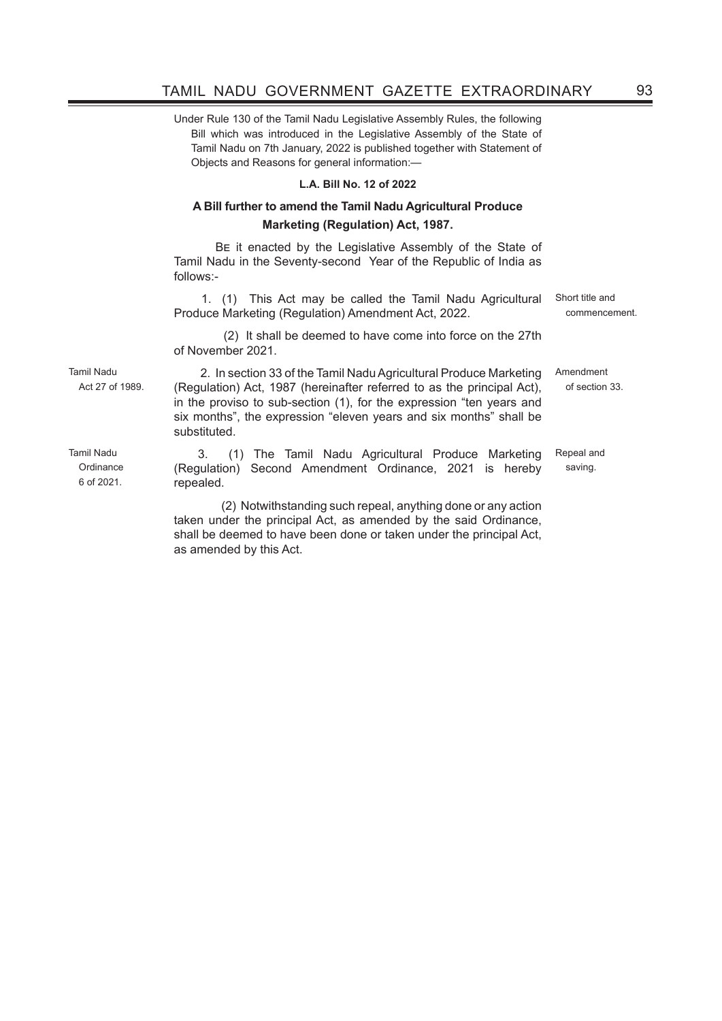Under Rule 130 of the Tamil Nadu Legislative Assembly Rules, the following Bill which was introduced in the Legislative Assembly of the State of Tamil Nadu on 7th January, 2022 is published together with Statement of Objects and Reasons for general information:—

## **L.A. Bill No. 12 of 2022**

## **A Bill further to amend the Tamil Nadu Agricultural Produce Marketing (Regulation) Act, 1987.**

BE it enacted by the Legislative Assembly of the State of Tamil Nadu in the Seventy-second Year of the Republic of India as follows:-

 1. (1) This Act may be called the Tamil Nadu Agricultural Produce Marketing (Regulation) Amendment Act, 2022.

 (2) It shall be deemed to have come into force on the 27th of November 2021.

 2. In section 33 of the Tamil Nadu Agricultural Produce Marketing (Regulation) Act, 1987 (hereinafter referred to as the principal Act), in the proviso to sub-section (1), for the expression "ten years and six months", the expression "eleven years and six months" shall be substituted.

3. (1) The Tamil Nadu Agricultural Produce Marketing (Regulation) Second Amendment Ordinance, 2021 is hereby repealed. Repeal and saving.

 (2) Notwithstanding such repeal, anything done or any action taken under the principal Act, as amended by the said Ordinance, shall be deemed to have been done or taken under the principal Act, as amended by this Act.

Tamil Nadu Act 27 of 1989.

Tamil Nadu **Ordinance** 6 of 2021. Short title and commencement.

Amendment of section 33.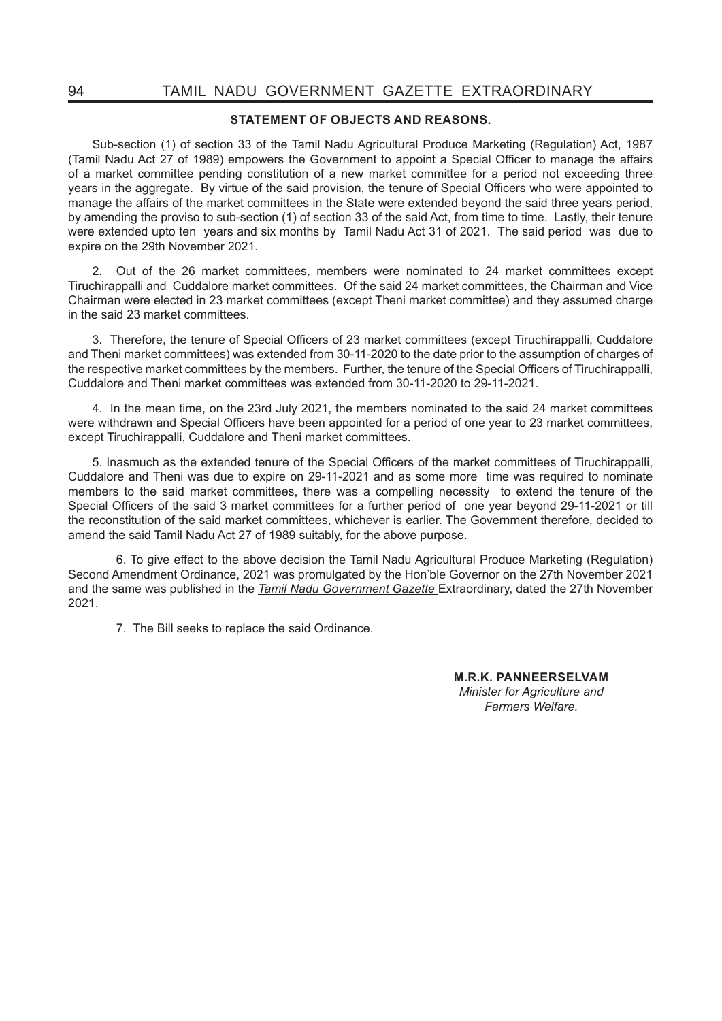## **STATEMENT OF OBJECTS AND REASONS.**

Sub-section (1) of section 33 of the Tamil Nadu Agricultural Produce Marketing (Regulation) Act, 1987 (Tamil Nadu Act 27 of 1989) empowers the Government to appoint a Special Officer to manage the affairs of a market committee pending constitution of a new market committee for a period not exceeding three years in the aggregate. By virtue of the said provision, the tenure of Special Officers who were appointed to manage the affairs of the market committees in the State were extended beyond the said three years period, by amending the proviso to sub-section (1) of section 33 of the said Act, from time to time. Lastly, their tenure were extended upto ten years and six months by Tamil Nadu Act 31 of 2021. The said period was due to expire on the 29th November 2021.

2. Out of the 26 market committees, members were nominated to 24 market committees except Tiruchirappalli and Cuddalore market committees. Of the said 24 market committees, the Chairman and Vice Chairman were elected in 23 market committees (except Theni market committee) and they assumed charge in the said 23 market committees.

3. Therefore, the tenure of Special Officers of 23 market committees (except Tiruchirappalli, Cuddalore and Theni market committees) was extended from 30-11-2020 to the date prior to the assumption of charges of the respective market committees by the members. Further, the tenure of the Special Officers of Tiruchirappalli, Cuddalore and Theni market committees was extended from 30-11-2020 to 29-11-2021.

4. In the mean time, on the 23rd July 2021, the members nominated to the said 24 market committees were withdrawn and Special Officers have been appointed for a period of one year to 23 market committees, except Tiruchirappalli, Cuddalore and Theni market committees.

5. Inasmuch as the extended tenure of the Special Officers of the market committees of Tiruchirappalli, Cuddalore and Theni was due to expire on 29-11-2021 and as some more time was required to nominate members to the said market committees, there was a compelling necessity to extend the tenure of the Special Officers of the said 3 market committees for a further period of one year beyond 29-11-2021 or till the reconstitution of the said market committees, whichever is earlier. The Government therefore, decided to amend the said Tamil Nadu Act 27 of 1989 suitably, for the above purpose.

6. To give effect to the above decision the Tamil Nadu Agricultural Produce Marketing (Regulation) Second Amendment Ordinance, 2021 was promulgated by the Hon'ble Governor on the 27th November 2021 and the same was published in the *Tamil Nadu Government Gazette* Extraordinary, dated the 27th November 2021.

7. The Bill seeks to replace the said Ordinance.

 **M.R.K. PANNEERSELVAM**  *Minister for Agriculture and Farmers Welfare.*